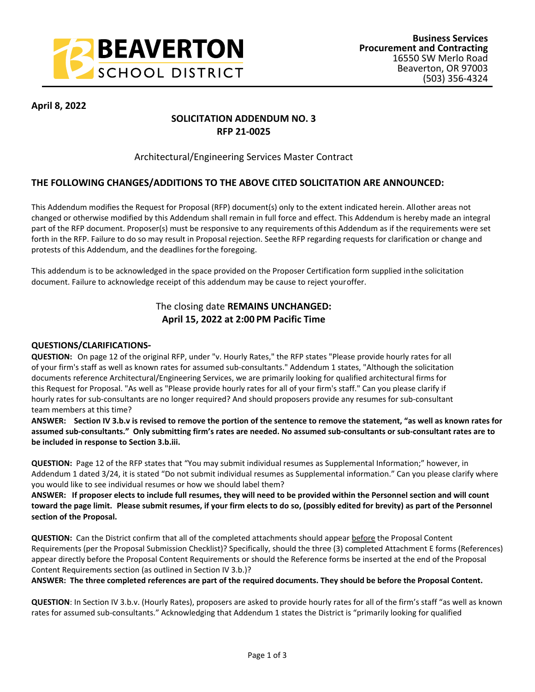

### **April 8, 2022**

# **SOLICITATION ADDENDUM NO. 3 RFP 21-0025**

## Architectural/Engineering Services Master Contract

## **THE FOLLOWING CHANGES/ADDITIONS TO THE ABOVE CITED SOLICITATION ARE ANNOUNCED:**

This Addendum modifies the Request for Proposal (RFP) document(s) only to the extent indicated herein. All other areas not changed or otherwise modified by this Addendum shall remain in full force and effect. This Addendum is hereby made an integral part of the RFP document. Proposer(s) must be responsive to any requirements of this Addendum as if the requirements were set forth in the RFP. Failure to do so may result in Proposal rejection. See the RFP regarding requests for clarification or change and protests of this Addendum, and the deadlines for the foregoing.

This addendum is to be acknowledged in the space provided on the Proposer Certification form supplied in the solicitation document. Failure to acknowledge receipt of this addendum may be cause to reject your offer.

# The closing date **REMAINS UNCHANGED: April 15, 2022 at 2:00 PM Pacific Time**

#### **QUESTIONS/CLARIFICATIONS-**

**QUESTION:** On page 12 of the original RFP, under "v. Hourly Rates," the RFP states "Please provide hourly rates for all of your firm's staff as well as known rates for assumed sub-consultants." Addendum 1 states, "Although the solicitation documents reference Architectural/Engineering Services, we are primarily looking for qualified architectural firms for this Request for Proposal. "As well as "Please provide hourly rates for all of your firm's staff." Can you please clarify if hourly rates for sub-consultants are no longer required? And should proposers provide any resumes for sub-consultant team members at this time?

**ANSWER: Section IV 3.b.v is revised to remove the portion of the sentence to remove the statement, "as well as known rates for assumed sub-consultants." Only submitting firm's rates are needed. No assumed sub-consultants or sub-consultant rates are to be included in response to Section 3.b.iii.**

**QUESTION:** Page 12 of the RFP states that "You may submit individual resumes as Supplemental Information;" however, in Addendum 1 dated 3/24, it is stated "Do not submit individual resumes as Supplemental information." Can you please clarify where you would like to see individual resumes or how we should label them?

**ANSWER: If proposer elects to include full resumes, they will need to be provided within the Personnel section and will count toward the page limit. Please submit resumes, if your firm elects to do so, (possibly edited for brevity) as part of the Personnel section of the Proposal.** 

**QUESTION:** Can the District confirm that all of the completed attachments should appear before the Proposal Content Requirements (per the Proposal Submission Checklist)? Specifically, should the three (3) completed Attachment E forms (References) appear directly before the Proposal Content Requirements or should the Reference forms be inserted at the end of the Proposal Content Requirements section (as outlined in Section IV 3.b.)?

**ANSWER: The three completed references are part of the required documents. They should be before the Proposal Content.**

**QUESTION**: In Section IV 3.b.v. (Hourly Rates), proposers are asked to provide hourly rates for all of the firm's staff "as well as known rates for assumed sub-consultants." Acknowledging that Addendum 1 states the District is "primarily looking for qualified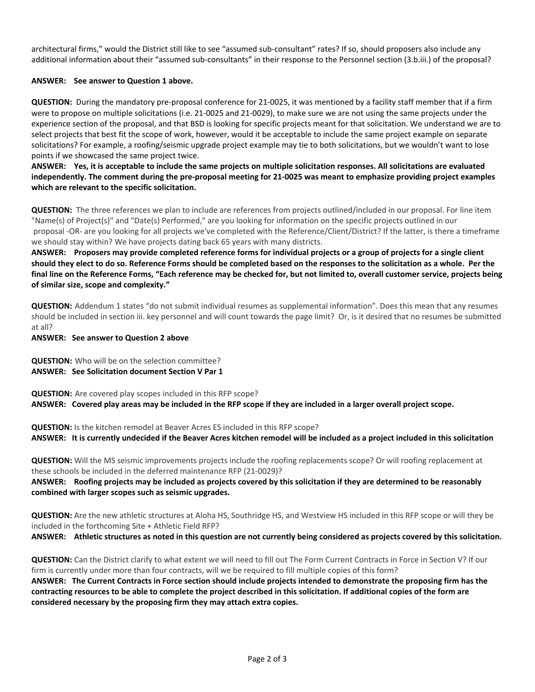architectural firms," would the District still like to see "assumed sub-consultant" rates? If so, should proposers also include any additional information about their "assumed sub-consultants" in their response to the Personnel section (3.b.iii.) of the proposal?

#### **ANSWER: See answer to Question 1 above.**

**QUESTION:** During the mandatory pre-proposal conference for 21-0025, it was mentioned by a facility staff member that if a firm were to propose on multiple solicitations (i.e. 21-0025 and 21-0029), to make sure we are not using the same projects under the experience section of the proposal, and that BSD is looking for specific projects meant for that solicitation. We understand we are to select projects that best fit the scope of work, however, would it be acceptable to include the same project example on separate solicitations? For example, a roofing/seismic upgrade project example may tie to both solicitations, but we wouldn't want to lose points if we showcased the same project twice.

**ANSWER: Yes, it is acceptable to include the same projects on multiple solicitation responses. All solicitations are evaluated independently. The comment during the pre-proposal meeting for 21-0025 was meant to emphasize providing project examples which are relevant to the specific solicitation.**

**QUESTION:** The three references we plan to include are references from projects outlined/included in our proposal. For line item "Name(s) of Project(s)" and "Date(s) Performed," are you looking for information on the specific projects outlined in our proposal -OR- are you looking for all projects we've completed with the Reference/Client/District? If the latter, is there a timeframe we should stay within? We have projects dating back 65 years with many districts.

**ANSWER: Proposers may provide completed reference forms for individual projects or a group of projects for a single client should they elect to do so. Reference Forms should be completed based on the responses to the solicitation as a whole. Per the final line on the Reference Forms, "Each reference may be checked for, but not limited to, overall customer service, projects being of similar size, scope and complexity."**

**QUESTION:** Addendum 1 states "do not submit individual resumes as supplemental information". Does this mean that any resumes should be included in section iii. key personnel and will count towards the page limit? Or, is it desired that no resumes be submitted at all?

**ANSWER: See answer to Question 2 above** 

**QUESTION:** Who will be on the selection committee? **ANSWER: See Solicitation document Section V Par 1**

**QUESTION:** Are covered play scopes included in this RFP scope? **ANSWER: Covered play areas may be included in the RFP scope if they are included in a larger overall project scope.**

**QUESTION:** Is the kitchen remodel at Beaver Acres ES included in this RFP scope? **ANSWER: It is currently undecided if the Beaver Acres kitchen remodel will be included as a project included in this solicitation**

**QUESTION:** Will the MS seismic improvements projects include the roofing replacements scope? Or will roofing replacement at these schools be included in the deferred maintenance RFP (21-0029)?

**ANSWER: Roofing projects may be included as projects covered by this solicitation if they are determined to be reasonably combined with larger scopes such as seismic upgrades.** 

**QUESTION:** Are the new athletic structures at Aloha HS, Southridge HS, and Westview HS included in this RFP scope or will they be included in the forthcoming Site + Athletic Field RFP?

**ANSWER: Athletic structures as noted in this question are not currently being considered as projects covered by this solicitation.**

**QUESTION:** Can the District clarify to what extent we will need to fill out The Form Current Contracts in Force in Section V? If our firm is currently under more than four contracts, will we be required to fill multiple copies of this form?

**ANSWER: The Current Contracts in Force section should include projects intended to demonstrate the proposing firm has the contracting resources to be able to complete the project described in this solicitation. If additional copies of the form are considered necessary by the proposing firm they may attach extra copies.**